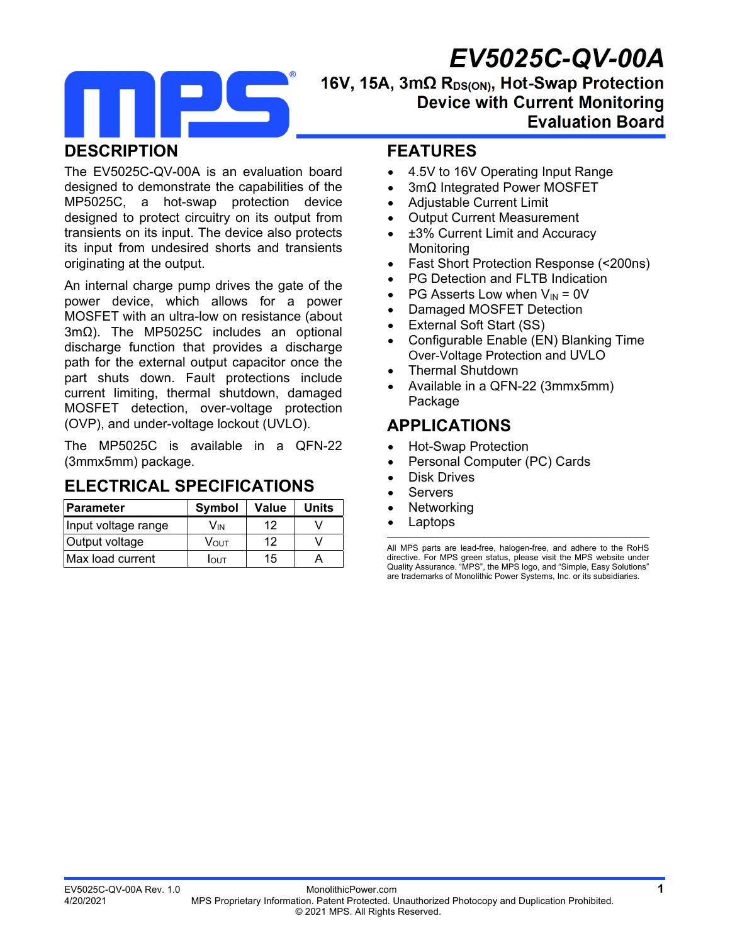# *EV5025C-QV-00A*



#### 16V, 15A, 3mΩ R<sub>DS(ON)</sub>, Hot-Swap Protection **Device with Current Monitoring Evaluation Board**

#### **DESCRIPTION**

The EV5025C-QV-00A is an evaluation board designed to demonstrate the capabilities of the MP5025C, a hot-swap protection device designed to protect circuitry on its output from transients on its input. The device also protects its input from undesired shorts and transients originating at the output.

An internal charge pump drives the gate of the power device, which allows for a power MOSFET with an ultra-low on resistance (about 3mΩ). The MP5025C includes an optional discharge function that provides a discharge path for the external output capacitor once the part shuts down. Fault protections include current limiting, thermal shutdown, damaged MOSFET detection, over-voltage protection (OVP), and under-voltage lockout (UVLO).

The MP5025C is available in a QFN-22 (3mmx5mm) package.

#### **ELECTRICAL SPECIFICATIONS**

| <b>IParameter</b>   | <b>Symbol</b> | Value | <b>Units</b> |
|---------------------|---------------|-------|--------------|
| Input voltage range | Vın           | 12    |              |
| Output voltage      | VOUT          | 12    |              |
| IMax load current   | Ιουτ          | 15    |              |

#### **FEATURES**

- 4.5V to 16V Operating Input Range
- 3mΩ Integrated Power MOSFET
- Adjustable Current Limit
- Output Current Measurement
- ±3% Current Limit and Accuracy **Monitoring**
- Fast Short Protection Response (<200ns)
- PG Detection and FLTB Indication
- PG Asserts Low when  $V_{IN} = 0V$
- Damaged MOSFET Detection
- External Soft Start (SS)
- Configurable Enable (EN) Blanking Time Over-Voltage Protection and UVLO
- Thermal Shutdown
- Available in a QFN-22 (3mmx5mm) Package

## **APPLICATIONS**

- Hot-Swap Protection
- Personal Computer (PC) Cards
- Disk Drives
- Servers
- Networking
- Laptops

All MPS parts are lead-free, halogen-free, and adhere to the RoHS directive. For MPS green status, please visit the MPS website under Quality Assurance. "MPS", the MPS logo, and "Simple, Easy Solutions" are trademarks of Monolithic Power Systems, Inc. or its subsidiaries.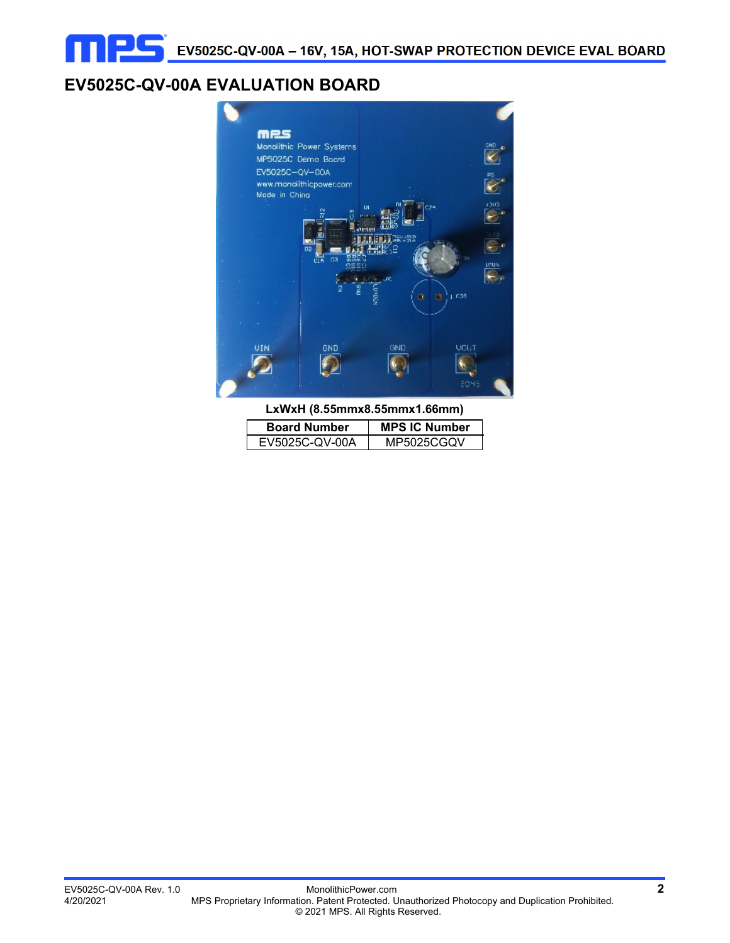# **EV5025C-QV-00A EVALUATION BOARD**



**LxWxH (8.55mmx8.55mmx1.66mm)** 

| <b>Board Number</b> | <b>MPS IC Number</b> |  |
|---------------------|----------------------|--|
| EV5025C-QV-00A      | MP5025CGQV           |  |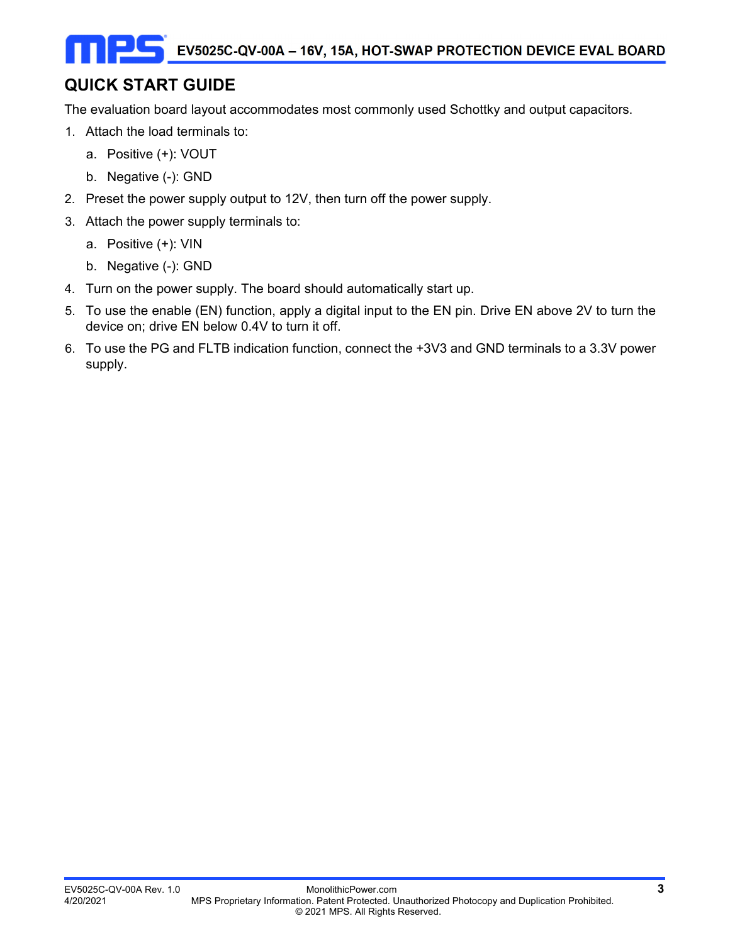# **QUICK START GUIDE**

The evaluation board layout accommodates most commonly used Schottky and output capacitors.

- 1. Attach the load terminals to:
	- a. Positive (+): VOUT
	- b. Negative (-): GND
- 2. Preset the power supply output to 12V, then turn off the power supply.
- 3. Attach the power supply terminals to:
	- a. Positive (+): VIN
	- b. Negative (-): GND
- 4. Turn on the power supply. The board should automatically start up.
- 5. To use the enable (EN) function, apply a digital input to the EN pin. Drive EN above 2V to turn the device on; drive EN below 0.4V to turn it off.
- 6. To use the PG and FLTB indication function, connect the +3V3 and GND terminals to a 3.3V power supply.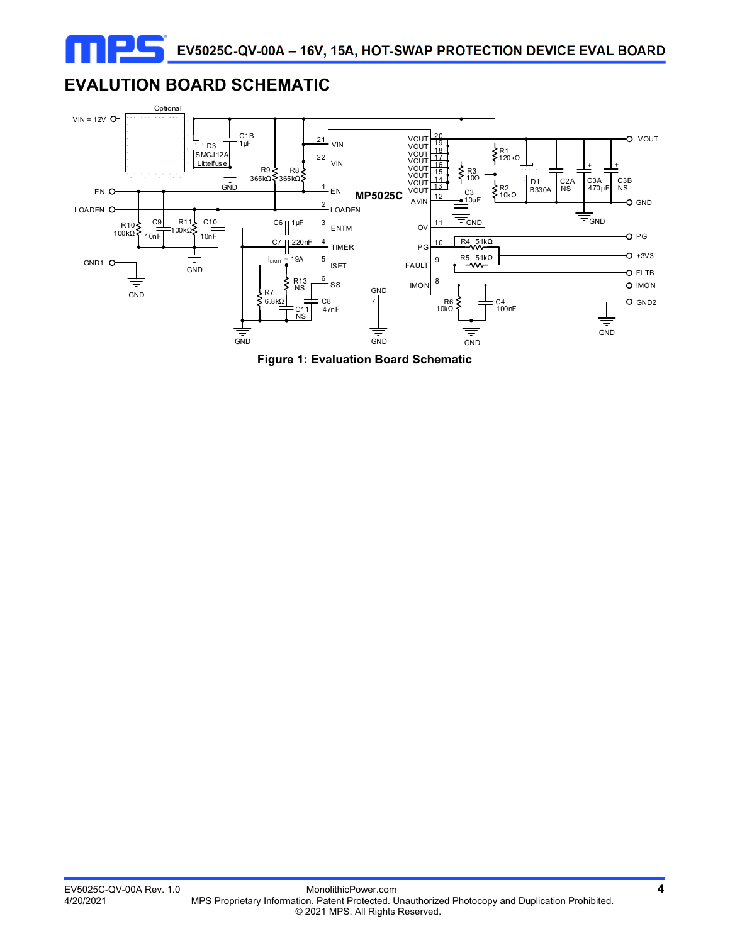## **EVALUTION BOARD SCHEMATIC**

ne



**Figure 1: Evaluation Board Schematic**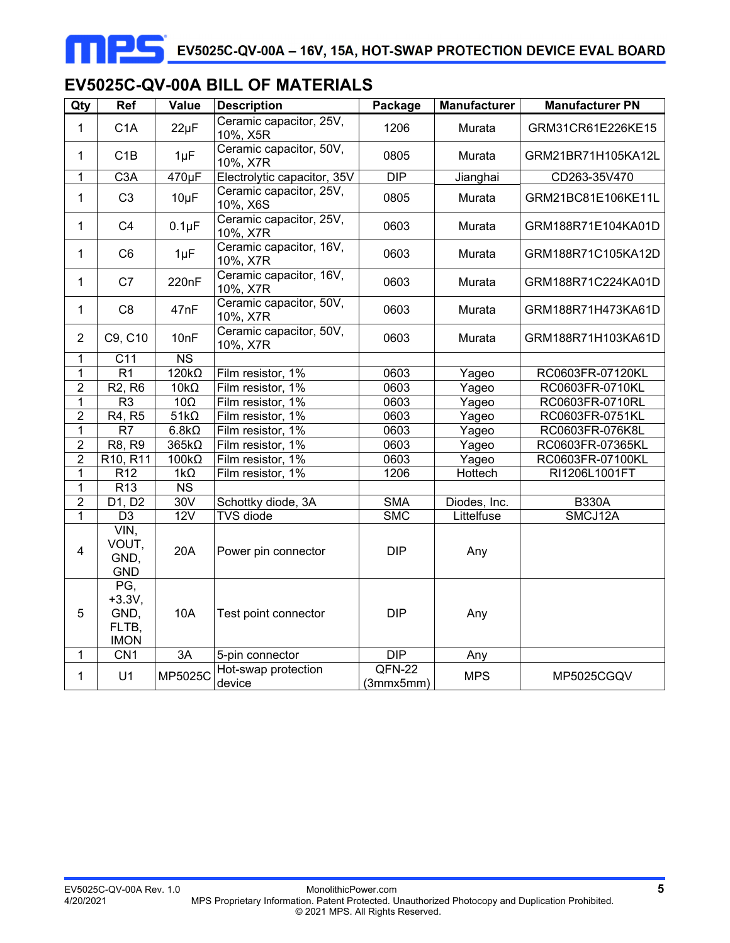## **EV5025C-QV-00A BILL OF MATERIALS**

| Qty            | Ref                                             | Value          | <b>Description</b>                  | Package             | <b>Manufacturer</b> | <b>Manufacturer PN</b> |
|----------------|-------------------------------------------------|----------------|-------------------------------------|---------------------|---------------------|------------------------|
| 1              | C <sub>1</sub> A                                | $22\mu F$      | Ceramic capacitor, 25V,<br>10%, X5R | 1206                | Murata              | GRM31CR61E226KE15      |
| 1              | C1B                                             | $1\mu F$       | Ceramic capacitor, 50V,<br>10%, X7R | 0805                | Murata              | GRM21BR71H105KA12L     |
| 1              | C <sub>3</sub> A                                | 470µF          | Electrolytic capacitor, 35V         | <b>DIP</b>          | Jianghai            | CD263-35V470           |
| $\mathbf{1}$   | C <sub>3</sub>                                  | 10µF           | Ceramic capacitor, 25V,<br>10%, X6S | 0805                | Murata              | GRM21BC81E106KE11L     |
| $\mathbf{1}$   | C <sub>4</sub>                                  | $0.1\mu F$     | Ceramic capacitor, 25V,<br>10%, X7R | 0603                | Murata              | GRM188R71E104KA01D     |
| $\mathbf{1}$   | C <sub>6</sub>                                  | $1\mu F$       | Ceramic capacitor, 16V,<br>10%, X7R | 0603                | Murata              | GRM188R71C105KA12D     |
| 1              | C7                                              | 220nF          | Ceramic capacitor, 16V,<br>10%, X7R | 0603                | Murata              | GRM188R71C224KA01D     |
| $\mathbf{1}$   | C <sub>8</sub>                                  | 47nF           | Ceramic capacitor, 50V,<br>10%, X7R | 0603                | Murata              | GRM188R71H473KA61D     |
| $\overline{2}$ | C9, C10                                         | 10nF           | Ceramic capacitor, 50V,<br>10%, X7R | 0603                | Murata              | GRM188R71H103KA61D     |
| 1              | C <sub>11</sub>                                 | N <sub>S</sub> |                                     |                     |                     |                        |
| $\mathbf 1$    | $\overline{R1}$                                 | $120k\Omega$   | Film resistor, 1%                   | 0603                | Yageo               | RC0603FR-07120KL       |
| $\overline{2}$ | R <sub>2</sub> , R <sub>6</sub>                 | $10k\Omega$    | Film resistor, 1%                   | 0603                | Yageo               | RC0603FR-0710KL        |
| $\mathbf 1$    | R <sub>3</sub>                                  | $10\Omega$     | Film resistor, 1%                   | 0603                | Yageo               | RC0603FR-0710RL        |
| $\overline{2}$ | R4, R5                                          | $51k\Omega$    | Film resistor, 1%                   | 0603                | Yageo               | RC0603FR-0751KL        |
| $\overline{1}$ | $\overline{R7}$                                 | $6.8k\Omega$   | Film resistor, 1%                   | 0603                | Yageo               | RC0603FR-076K8L        |
| $\overline{2}$ | R8, R9                                          | $365k\Omega$   | Film resistor, 1%                   | 0603                | Yageo               | RC0603FR-07365KL       |
| $\overline{2}$ | R <sub>10</sub> , R <sub>11</sub>               | $100k\Omega$   | Film resistor, 1%                   | 0603                | Yageo               | RC0603FR-07100KL       |
| $\overline{1}$ | R <sub>12</sub>                                 | $1k\Omega$     | Film resistor, 1%                   | 1206                | Hottech             | RI1206L1001FT          |
| $\mathbf 1$    | R <sub>13</sub>                                 | <b>NS</b>      |                                     |                     |                     |                        |
| $\overline{2}$ | D1, D2                                          | 30V            | Schottky diode, 3A                  | <b>SMA</b>          | Diodes, Inc.        | <b>B330A</b>           |
| $\mathbf{1}$   | $\overline{D3}$                                 | 12V            | <b>TVS</b> diode                    | <b>SMC</b>          | Littelfuse          | SMCJ12A                |
| 4              | $VIN$ ,<br>VOUT,<br>GND,<br><b>GND</b>          | 20A            | Power pin connector                 | <b>DIP</b>          | Any                 |                        |
| 5              | PG,<br>$+3.3V,$<br>GND,<br>FLTB,<br><b>IMON</b> | 10A            | Test point connector                | <b>DIP</b>          | Any                 |                        |
| 1              | CN1                                             | 3A             | 5-pin connector                     | DIP                 | Any                 |                        |
| $\mathbf{1}$   | U1                                              | MP5025C        | Hot-swap protection<br>device       | QFN-22<br>(3mmx5mm) | <b>MPS</b>          | MP5025CGQV             |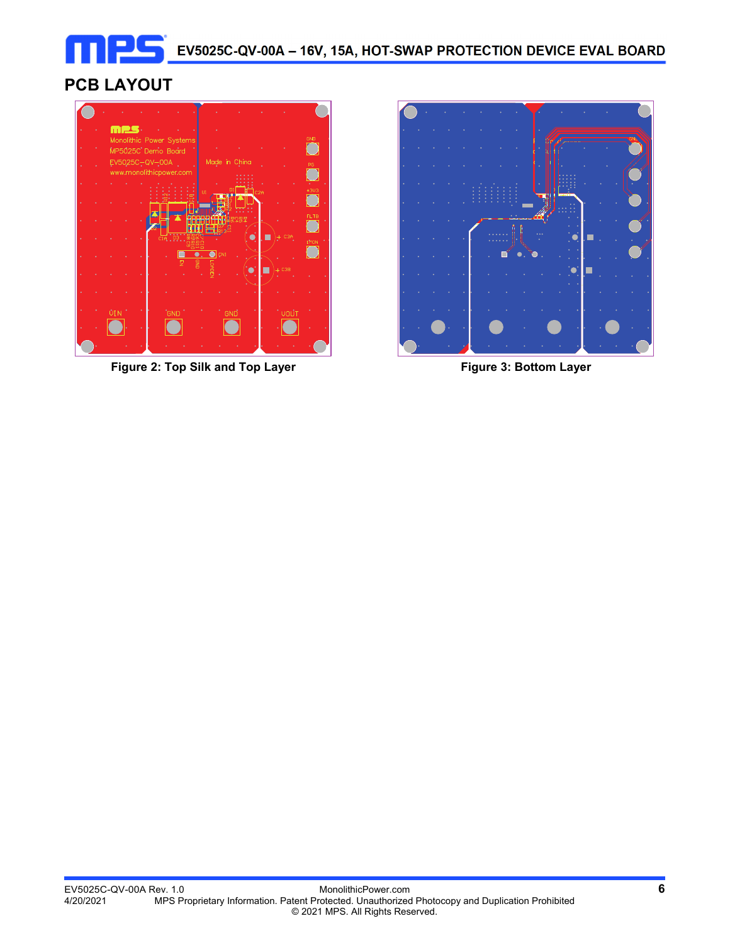# **PCB LAYOUT**



Figure 2: Top Silk and Top Layer **Figure 3: Bottom Layer** Figure 3: Bottom Layer